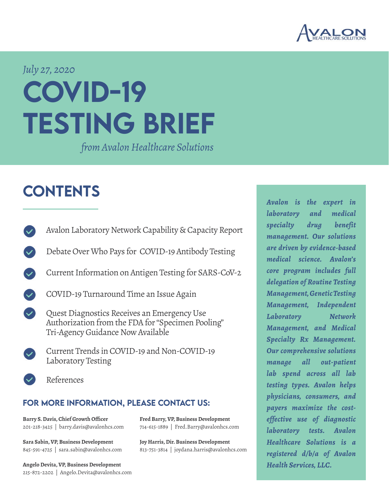

### *July 27, 2020*

# COVID-19 TESTING BRIEF

*from Avalon Healthcare Solutions*

### **CONTENTS**

- [Avalon Laboratory Network Capability & Capacity Report](#page-1-0)
- [Debate Over Who Pays for COVID-19 Antibody Testing](#page-2-0)
- [Current Information on Antigen Testing for SARS-CoV-2](#page-3-0)
- [COVID-19 Turnaround Time an Issue Again](#page-4-0)
- Quest Diagnostics Receives an Emergency Use Authorization from the FDA for "Specimen Pooling" Tri-Agency Guidance Now Available
	- [Current Trends in COVID-19 and Non-COVID-19](#page-5-0)  [Laboratory Testing](#page-5-0)
- [References](#page-11-0)

#### FOR MORE INFORMATION, PLEASE CONTACT US:

**Fred Barry, VP, Business Development** 714-615-1889 | Fred.Barry@avalonhcs.com

**Joy Harris, Dir. Business Development** 813-751-3814 | joydana.harris@avalonhcs.com

**Barry S. Davis, Chief Growth Officer** 201-218-3425 | barry.davis@avalonhcs.com

**Sara Sabin, VP, Business Development** 845-591-4725 | sara.sabin@avalonhcs.com

**Angelo Devita, VP, Business Development** 215-872-2202 | Angelo.Devita@avalonhcs.com *Avalon is the expert in laboratory and medical specialty drug benefit management. Our solutions are driven by evidence-based medical science. Avalon's core program includes full delegation of Routine Testing Management, Genetic Testing Management, Independent Laboratory Network Management, and Medical Specialty Rx Management. Our comprehensive solutions manage all out-patient lab spend across all lab testing types. Avalon helps physicians, consumers, and payers maximize the costeffective use of diagnostic laboratory tests. Avalon Healthcare Solutions is a registered d/b/a of Avalon Health Services, LLC.*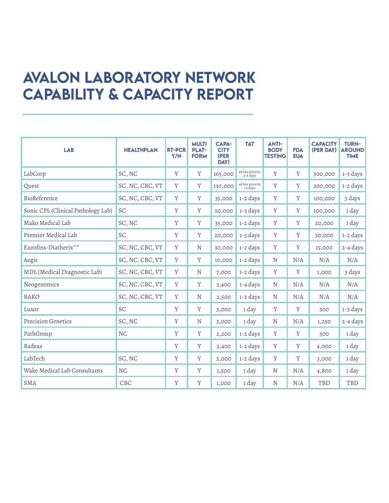### <span id="page-1-1"></span><span id="page-1-0"></span>Avalon Laboratory Network Capability & Capacity Report

| <b>LAB</b>                         | <b>HEALTHPLAN</b> | <b>RT-PCR</b><br>Y/N | <b>MULTI</b><br><b>PLAT-</b><br><b>FORM</b> | <b>CAPA-</b><br><b>CITY</b><br>(PER<br>DAY) | <b>TAT</b>                  | <b>ANTI-</b><br><b>BODY</b><br><b>TESTING</b> | <b>FDA</b><br><b>EUA</b> | <b>CAPACITY</b><br>(PER DAY) | <b>TURN-</b><br><b>AROUND</b><br><b>TIME</b> |
|------------------------------------|-------------------|----------------------|---------------------------------------------|---------------------------------------------|-----------------------------|-----------------------------------------------|--------------------------|------------------------------|----------------------------------------------|
| LabCorp                            | SC, NC            | Y                    | Y                                           | 165,000                                     | 48 hrs priority<br>4-6 days | Y                                             | Y                        | 300,000                      | 1-3 days                                     |
| Quest                              | SC, NC, CBC, VT   | Y                    | Y                                           | 130,000                                     | 48 hrs priority<br>+6 days  | $\mathbf Y$                                   | Y                        | 200,000                      | 1-2 days                                     |
| BioReference                       | SC, NC, CBC, VT   | Y                    | Y                                           | 35,000                                      | 1-2 days                    | Y                                             | Y                        | 100,000                      | 3 days                                       |
| Sonic CPL (Clinical Pathology Lab) | SC                | Y                    | Y                                           | 20,000                                      | 1-3 days                    | Y                                             | Y                        | 100,000                      | 1 day                                        |
| Mako Medical Lab                   | SC, NC            | Y                    | Y                                           | 35,000                                      | 1-2 days                    | Y                                             | Y                        | 20,000                       | 1 day                                        |
| Premier Medical Lab                | SC                | Y                    | Y                                           | 20,000                                      | 1-3 days                    | Y                                             | Y                        | 50,000                       | 1-2 days                                     |
| Eurofins-Diatherix**               | SC, NC, CBC, VT   | Y                    | N                                           | 30,000                                      | 1-2 days                    | Y                                             | Y                        | 15,000                       | $2 - 4$ days                                 |
| Aegis                              | SC, NC, CBC, VT   | Y                    | Y                                           | 10,000                                      | 1-2 days                    | N                                             | N/A                      | N/A                          | N/A                                          |
| MDL (Medical Diagnostic Lab)       | SC, NC, CBC, VT   | Y                    | N                                           | 7,000                                       | 1-2 days                    | Y                                             | Y                        | 1,000                        | 3 days                                       |
| Neogenomics                        | SC, NC, CBC, VT   | Y                    | Y                                           | 3,400                                       | 1-4 days                    | N                                             | N/A                      | N/A                          | N/A                                          |
| <b>BAKO</b>                        | SC, NC, CBC, VT   | Y                    | N                                           | 2,500                                       | 1-2 days                    | N                                             | N/A                      | N/A                          | N/A                                          |
| Luxor                              | SC                | Y                    | Y                                           | 5,000                                       | 1 day                       | Y                                             | Y                        | 500                          | 1-2 days                                     |
| <b>Precision Genetics</b>          | SC, NC            | Y                    | N                                           | 3,000                                       | 1 day                       | N                                             | N/A                      | 1,250                        | $2 - 4$ days                                 |
| PathGroup                          | N <sub>C</sub>    | Y                    | Y                                           | 2,200                                       | 1-2 days                    | Y                                             | Y                        | 500                          | 1 day                                        |
| Radeas                             |                   | Y                    | Y                                           | 2,400                                       | 1-2 days                    | Y                                             | Y                        | 4,000                        | 1 day                                        |
| LabTech                            | SC, NC            | Y                    | Y                                           | 2,000                                       | 1-2 days                    | Y                                             | Y                        | 3,000                        | 1 day                                        |
| Wake Medical Lab Consultants       | $\rm{NC}$         | Y                    | Y                                           | 1,500                                       | 1 day                       | N                                             | N/A                      | 4,800                        | 1 day                                        |
| <b>SMA</b>                         | CBC               | Y                    | Y                                           | 1,000                                       | 1 day                       | N                                             | N/A                      | TBD                          | TBD                                          |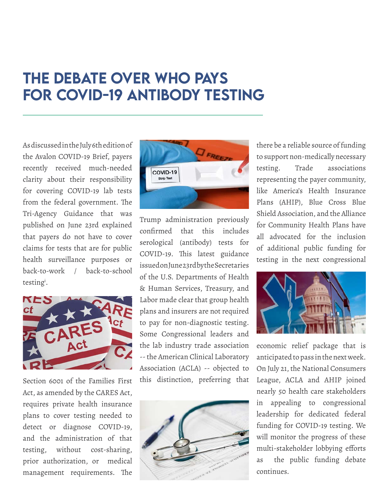### <span id="page-2-0"></span>The Debate Over Who Pays for COVID-19 Antibody Testing

As discussed in the July 6th edition of the Avalon COVID-19 Brief, payers recently received much-needed clarity about their responsibility for covering COVID-19 lab tests from the federal government. The Tri-Agency Guidance that was published on June 23rd explained that payers do not have to cover claims for tests that are for public health surveillance purposes or back-to-work / back-to-school testing<sup>i</sup>.



Section 6001 of the Families First Act, as amended by the CARES Act, requires private health insurance plans to cover testing needed to detect or diagnose COVID-19, and the administration of that testing, without cost-sharing, prior authorization, or medical management requirements. The



Trump administration previously confirmed that this includes serological (antibody) tests for COVID-19. This latest guidance issued on June 23rd by the Secretaries of the U.S. Departments of Health & Human Services, Treasury, and Labor made clear that group health plans and insurers are not required to pay for non-diagnostic testing. Some Congressional leaders and the lab industry trade association -- the American Clinical Laboratory Association (ACLA) -- objected to this distinction, preferring that



there be a reliable source of funding to support non-medically necessary testing. Trade associations representing the payer community, like America's Health Insurance Plans (AHIP), Blue Cross Blue Shield Association, and the Alliance for Community Health Plans have all advocated for the inclusion of additional public funding for testing in the next congressional



economic relief package that is anticipated to pass in the next week. On July 21, the National Consumers League, ACLA and AHIP joined nearly 50 health care stakeholders in appealing to congressional leadership for dedicated federal funding for COVID-19 testing. We will monitor the progress of these multi-stakeholder lobbying efforts as the public funding debate continues.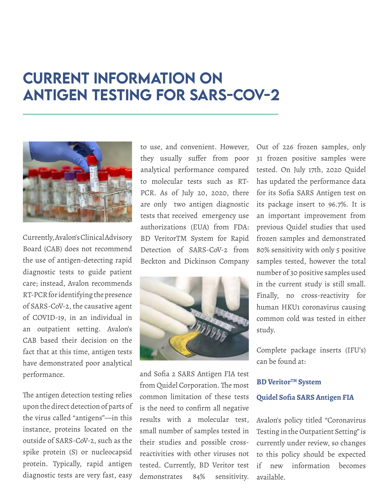### <span id="page-3-0"></span>Current Information on Antigen Testing for SARS-CoV-2



Currently, Avalon's Clinical Advisory Board (CAB) does not recommend the use of antigen-detecting rapid diagnostic tests to guide patient care; instead, Avalon recommends RT-PCR for identifying the presence of SARS-CoV-2, the causative agent of COVID-19, in an individual in an outpatient setting. Avalon's CAB based their decision on the fact that at this time, antigen tests have demonstrated poor analytical performance.

The antigen detection testing relies upon the direct detection of parts of the virus called "antigens"—in this instance, proteins located on the outside of SARS-CoV-2, such as the spike protein (S) or nucleocapsid protein. Typically, rapid antigen diagnostic tests are very fast, easy to use, and convenient. However, they usually suffer from poor analytical performance compared to molecular tests such as RT-PCR. As of July 20, 2020, there are only two antigen diagnostic tests that received emergency use authorizations (EUA) from FDA: BD VeritorTM System for Rapid Detection of SARS-CoV-2 from Beckton and Dickinson Company



and Sofia 2 SARS Antigen FIA test from Quidel Corporation. The most common limitation of these tests is the need to confirm all negative results with a molecular test, small number of samples tested in their studies and possible crossreactivities with other viruses not tested. Currently, BD Veritor test demonstrates 84% sensitivity.

Out of 226 frozen samples, only 31 frozen positive samples were tested. On July 17th, 2020 Quidel has updated the performance data for its Sofia SARS Antigen test on its package insert to 96.7%. It is an important improvement from previous Quidel studies that used frozen samples and demonstrated 80% sensitivity with only 5 positive samples tested, however the total number of 30 positive samples used in the current study is still small. Finally, no cross-reactivity for human HKU1 coronavirus causing common cold was tested in either study.

Complete package inserts (IFU's) can be found at:

#### **BD Veritor™ System [Quidel Sofia SARS Antigen FIA](https://www.fda.gov/media/137885/download)**

Avalon's policy titled "Coronavirus Testing in the Outpatient Setting" is currently under review, so changes to this policy should be expected if new information becomes available.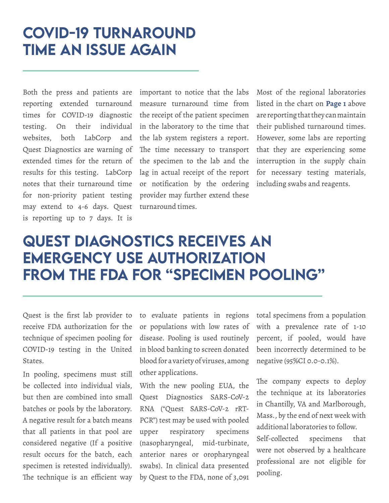### <span id="page-4-0"></span>COVID-19 Turnaround Time an Issue Again

Both the press and patients are reporting extended turnaround times for COVID-19 diagnostic testing. On their individual websites, both LabCorp and Quest Diagnostics are warning of extended times for the return of results for this testing. LabCorp notes that their turnaround time for non-priority patient testing may extend to 4-6 days. Quest is reporting up to 7 days. It is

important to notice that the labs measure turnaround time from the receipt of the patient specimen in the laboratory to the time that the lab system registers a report. The time necessary to transport the specimen to the lab and the lag in actual receipt of the report or notification by the ordering provider may further extend these turnaround times.

Most of the regional laboratories listed in the chart on **[Page 1](#page-1-1)** above are reporting that they can maintain their published turnaround times. However, some labs are reporting that they are experiencing some interruption in the supply chain for necessary testing materials, including swabs and reagents.

### Quest Diagnostics Receives an Emergency Use Authorization from the FDA for "Specimen Pooling"

Quest is the first lab provider to receive FDA authorization for the technique of specimen pooling for COVID-19 testing in the United States.

In pooling, specimens must still be collected into individual vials, but then are combined into small batches or pools by the laboratory. A negative result for a batch means that all patients in that pool are considered negative (If a positive result occurs for the batch, each specimen is retested individually). The technique is an efficient way to evaluate patients in regions or populations with low rates of disease. Pooling is used routinely in blood banking to screen donated blood for a variety of viruses, among other applications.

With the new pooling EUA, the Quest Diagnostics SARS-CoV-2 RNA ("Quest SARS-CoV-2 rRT-PCR") test may be used with pooled upper respiratory specimens (nasopharyngeal, mid-turbinate, anterior nares or oropharyngeal swabs). In clinical data presented by Quest to the FDA, none of 3,091 total specimens from a population with a prevalence rate of 1-10 percent, if pooled, would have been incorrectly determined to be negative (95%CI 0.0-0.1%).

The company expects to deploy the technique at its laboratories in Chantilly, VA and Marlborough, Mass., by the end of next week with additional laboratories to follow. Self-collected specimens that were not observed by a healthcare professional are not eligible for pooling.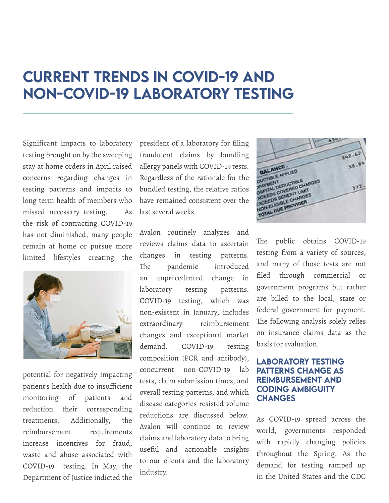### <span id="page-5-0"></span>Current trends in COVID-19 and non-COVID-19 laboratory testing

Significant impacts to laboratory testing brought on by the sweeping stay at home orders in April raised concerns regarding changes in testing patterns and impacts to long term health of members who missed necessary testing. As the risk of contracting COVID-19 has not diminished, many people remain at home or pursue more limited lifestyles creating the



potential for negatively impacting patient's health due to insufficient monitoring of patients and reduction their corresponding treatments. Additionally, the reimbursement requirements increase incentives for fraud, waste and abuse associated with COVID-19 testing. In May, the Department of Justice indicted the

president of a laboratory for filing fraudulent claims by bundling allergy panels with COVID-19 tests. Regardless of the rationale for the bundled testing, the relative ratios have remained consistent over the last several weeks.

Avalon routinely analyzes and reviews claims data to ascertain changes in testing patterns. The pandemic introduced an unprecedented change in laboratory testing patterns. COVID-19 testing, which was non-existent in January, includes extraordinary reimbursement changes and exceptional market demand. COVID-19 testing composition (PCR and antibody), concurrent non-COVID-19 lab tests, claim submission times, and overall testing patterns, and which disease categories resisted volume reductions are discussed below. Avalon will continue to review claims and laboratory data to bring useful and actionable insights to our clients and the laboratory industry.



The public obtains COVID-19 testing from a variety of sources, and many of those tests are not filed through commercial or government programs but rather are billed to the local, state or federal government for payment. The following analysis solely relies on insurance claims data as the basis for evaluation.

#### LABORATORY TESTING PATTERNS CHANGE AS REIMBURSEMENT AND CODING AMBIGUITY **CHANGES**

As COVID-19 spread across the world, governments responded with rapidly changing policies throughout the Spring. As the demand for testing ramped up in the United States and the CDC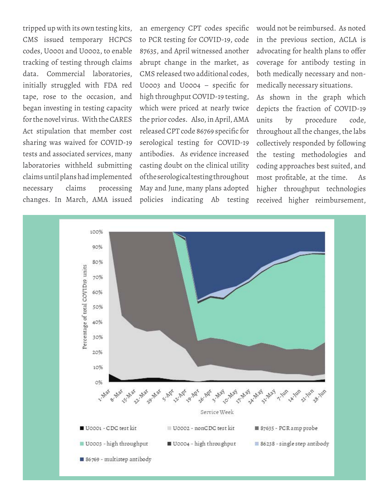tripped up with its own testing kits, CMS issued temporary HCPCS codes, U0001 and U0002, to enable tracking of testing through claims data. Commercial laboratories, initially struggled with FDA red tape, rose to the occasion, and began investing in testing capacity for the novel virus. With the CARES Act stipulation that member cost sharing was waived for COVID-19 tests and associated services, many laboratories withheld submitting claims until plans had implemented necessary claims processing

changes. In March, AMA issued policies indicating Ab testing an emergency CPT codes specific to PCR testing for COVID-19, code 87635, and April witnessed another abrupt change in the market, as CMS released two additional codes, U0003 and U0004 – specific for high throughput COVID-19 testing, which were priced at nearly twice the prior codes. Also, in April, AMA released CPT code 86769 specific for serological testing for COVID-19 antibodies. As evidence increased casting doubt on the clinical utility of the serological testing throughout May and June, many plans adopted

would not be reimbursed. As noted in the previous section, ACLA is advocating for health plans to offer coverage for antibody testing in both medically necessary and nonmedically necessary situations.

As shown in the graph which depicts the fraction of COVID-19 units by procedure code, throughout all the changes, the labs collectively responded by following the testing methodologies and coding approaches best suited, and most profitable, at the time. As higher throughput technologies received higher reimbursement,

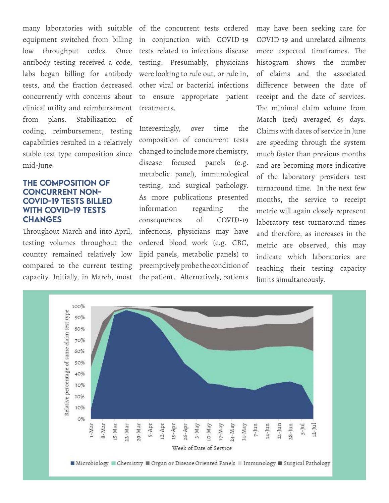equipment switched from billing in conjunction with COVID-19 low throughput codes. Once tests related to infectious disease antibody testing received a code, testing. Presumably, physicians labs began billing for antibody were looking to rule out, or rule in, tests, and the fraction decreased other viral or bacterial infections concurrently with concerns about clinical utility and reimbursement from plans. Stabilization of coding, reimbursement, testing capabilities resulted in a relatively stable test type composition since mid-June.

#### The composition of concurrent non-COVID-19 tests billed WITH COVID-19 TESTS **CHANGES** changes

Throughout March and into April, testing volumes throughout the country remained relatively low compared to the current testing capacity. Initially, in March, most the patient. Alternatively, patients

many laboratories with suitable of the concurrent tests ordered to ensure appropriate patient treatments.

> Interestingly, over time the composition of concurrent tests changed to include more chemistry, disease focused panels (e.g. metabolic panel), immunological testing, and surgical pathology. As more publications presented information regarding the consequences of COVID-19 infections, physicians may have ordered blood work (e.g. CBC, lipid panels, metabolic panels) to preemptively probe the condition of

may have been seeking care for COVID-19 and unrelated ailments more expected timeframes. The histogram shows the number of claims and the associated difference between the date of receipt and the date of services. The minimal claim volume from March (red) averaged 65 days. Claims with dates of service in June are speeding through the system much faster than previous months and are becoming more indicative of the laboratory providers test turnaround time. In the next few months, the service to receipt metric will again closely represent laboratory test turnaround times and therefore, as increases in the metric are observed, this may indicate which laboratories are reaching their testing capacity limits simultaneously.

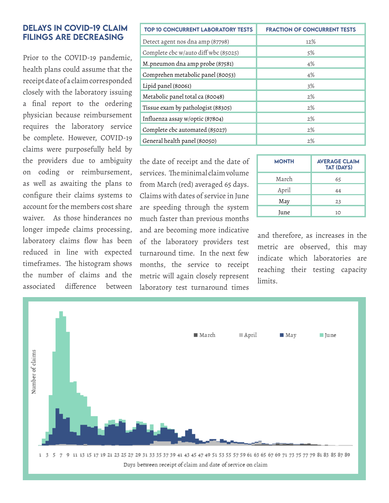#### Delays in COVID-19 claim filings are decreasing

Prior to the COVID-19 pandemic, health plans could assume that the receipt date of a claim corresponded closely with the laboratory issuing a final report to the ordering physician because reimbursement requires the laboratory service be complete. However, COVID-19 claims were purposefully held by the providers due to ambiguity on coding or reimbursement, as well as awaiting the plans to configure their claims systems to account for the members cost share waiver. As those hinderances no longer impede claims processing, laboratory claims flow has been reduced in line with expected timeframes. The histogram shows the number of claims and the associated difference between

| <b>TOP 10 CONCURRENT LABORATORY TESTS</b> | <b>FRACTION OF CONCURRENT TESTS</b> |  |  |  |  |  |
|-------------------------------------------|-------------------------------------|--|--|--|--|--|
| Detect agent nos dna amp (87798)          | 12%                                 |  |  |  |  |  |
| Complete cbc w/auto diff wbc (85025)      | 5%                                  |  |  |  |  |  |
| M.pneumon dna amp probe (87581)           | 4%                                  |  |  |  |  |  |
| Comprehen metabolic panel (80053)         | 4%                                  |  |  |  |  |  |
| Lipid panel (80061)                       | 3%                                  |  |  |  |  |  |
| Metabolic panel total ca (80048)          | 2%                                  |  |  |  |  |  |
| Tissue exam by pathologist (88305)        | 2%                                  |  |  |  |  |  |
| Influenza assay w/optic (87804)           | 2%                                  |  |  |  |  |  |
| Complete cbc automated (85027)            | 2%                                  |  |  |  |  |  |
| General health panel (80050)              | 2%                                  |  |  |  |  |  |

the date of receipt and the date of services. The minimal claim volume from March (red) averaged 65 days. Claims with dates of service in June are speeding through the system much faster than previous months and are becoming more indicative of the laboratory providers test turnaround time. In the next few months, the service to receipt metric will again closely represent laboratory test turnaround times

| <b>MONTH</b> | <b>AVERAGE CLAIM</b><br><b>TAT (DAYS)</b> |
|--------------|-------------------------------------------|
| March        | 65                                        |
| April        | 44                                        |
| May          | 23                                        |
| June         | 10                                        |

and therefore, as increases in the metric are observed, this may indicate which laboratories are reaching their testing capacity limits.

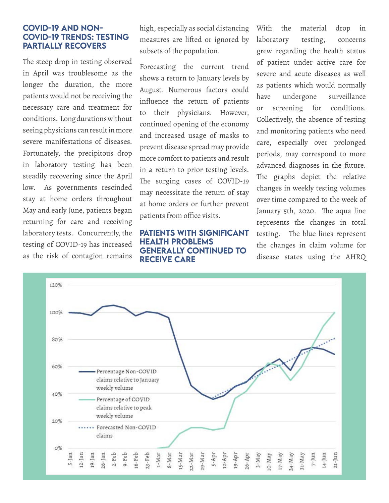#### COVID-19 and non-COVID-19 trends: testing partially recovers

The steep drop in testing observed in April was troublesome as the longer the duration, the more patients would not be receiving the necessary care and treatment for conditions. Long durations without seeing physicians can result in more severe manifestations of diseases. Fortunately, the precipitous drop in laboratory testing has been steadily recovering since the April low. As governments rescinded stay at home orders throughout May and early June, patients began returning for care and receiving laboratory tests. Concurrently, the testing of COVID-19 has increased as the risk of contagion remains

high, especially as social distancing measures are lifted or ignored by subsets of the population.

Forecasting the current trend shows a return to January levels by August. Numerous factors could influence the return of patients to their physicians. However, continued opening of the economy and increased usage of masks to prevent disease spread may provide more comfort to patients and result in a return to prior testing levels. The surging cases of COVID-19 may necessitate the return of stay at home orders or further prevent patients from office visits.

#### Patients with significant health problems generally continued to receive care

With the material drop in laboratory testing, concerns grew regarding the health status of patient under active care for severe and acute diseases as well as patients which would normally have undergone surveillance or screening for conditions. Collectively, the absence of testing and monitoring patients who need care, especially over prolonged periods, may correspond to more advanced diagnoses in the future. The graphs depict the relative changes in weekly testing volumes over time compared to the week of January 5th, 2020. The aqua line represents the changes in total testing. The blue lines represent the changes in claim volume for disease states using the AHRQ

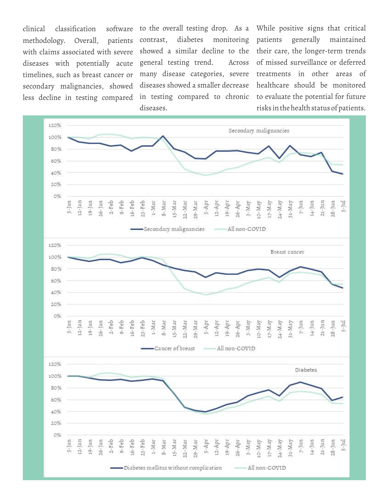clinical classification methodology. Overall, patients with claims associated with severe diseases with potentially acute timelines, such as breast cancer or secondary malignancies, showed less decline in testing compared showed a similar decline to the general testing trend. Across diseases showed a smaller decrease in testing compared to chronic diseases.

to the overall testing drop. As a While positive signs that critical contrast, diabetes monitoring patients generally maintained many disease categories, severe treatments in other areas of their care, the longer-term trends of missed surveillance or deferred healthcare should be monitored to evaluate the potential for future risks in the health status of patients.